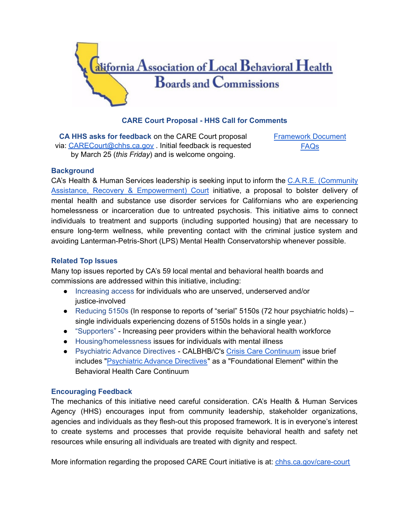

## **CARE Court Proposal - HHS Call for Comments**

**CA HHS asks for feedback** on the CARE Court proposal via: [CARECourt@chhs.ca.gov](mailto:CARECourt@chhs.ca.gov) . Initial feedback is requested by March 25 (*this Friday*) and is welcome ongoing.

[Framework](https://www.chhs.ca.gov/wp-content/uploads/2022/03/CARE-Court-Framework_web.pdf) Document [FAQs](https://www.chhs.ca.gov/wp-content/uploads/2022/03/CARECourt_FAQ.pdf)

## **Background**

CA's Health & Human Services leadership is seeking input to inform the C.A.R.E. [\(Community](https://www.chhs.ca.gov/care-court/) Assistance, Recovery & [Empowerment\)](https://www.chhs.ca.gov/care-court/) Court initiative, a proposal to bolster delivery of mental health and substance use disorder services for Californians who are experiencing homelessness or incarceration due to untreated psychosis. This initiative aims to connect individuals to treatment and supports (including supported housing) that are necessary to ensure long-term wellness, while preventing contact with the criminal justice system and avoiding Lanterman-Petris-Short (LPS) Mental Health Conservatorship whenever possible.

## **Related Top Issues**

Many top issues reported by CA's 59 local mental and behavioral health boards and commissions are addressed within this initiative, including:

- Increasing access for individuals who are unserved, underserved and/or justice-involved
- Reducing 5150s (In response to reports of "serial" 5150s (72 hour psychiatric holds) single individuals experiencing dozens of 5150s holds in a single year.)
- "Supporters" Increasing peer providers within the behavioral health workforce
- Housing/homelessness issues for individuals with mental illness
- Psychiatric Advance Directives CALBHB/C's Crisis Care [Continuum](https://www.calbhbc.org/uploads/5/8/5/3/58536227/issue_brief_-_crisis_care_continuum.pdf) issue brief includes "[Psychiatric](https://www.calbhbc.org/pad.html) Advance Directives" as a "Foundational Element" within the Behavioral Health Care Continuum

## **Encouraging Feedback**

The mechanics of this initiative need careful consideration. CA's Health & Human Services Agency (HHS) encourages input from community leadership, stakeholder organizations, agencies and individuals as they flesh-out this proposed framework. It is in everyone's interest to create systems and processes that provide requisite behavioral health and safety net resources while ensuring all individuals are treated with dignity and respect.

More information regarding the proposed CARE Court initiative is at: [chhs.ca.gov/care-court](https://www.chhs.ca.gov/care-court/)